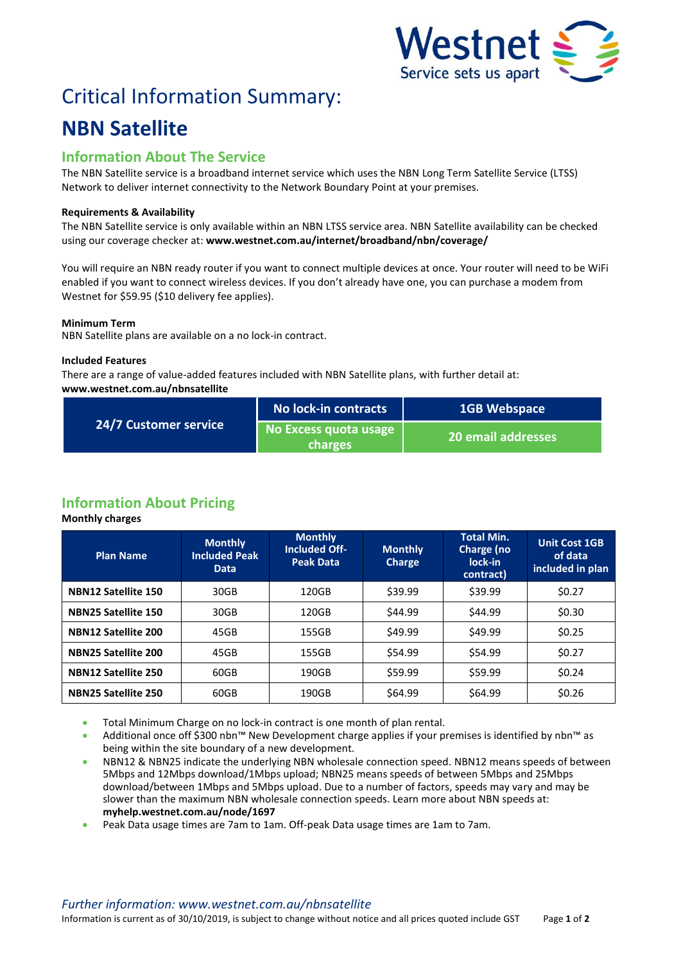

# Critical Information Summary:

## **NBN Satellite**

### **Information About The Service**

The NBN Satellite service is a broadband internet service which uses the NBN Long Term Satellite Service (LTSS) Network to deliver internet connectivity to the Network Boundary Point at your premises.

#### **Requirements & Availability**

The NBN Satellite service is only available within an NBN LTSS service area. NBN Satellite availability can be checked using our coverage checker at: **www.westnet.com.au/internet/broadband/nbn/coverage/**

You will require an NBN ready router if you want to connect multiple devices at once. Your router will need to be WiFi enabled if you want to connect wireless devices. If you don't already have one, you can purchase a modem from Westnet for \$59.95 (\$10 delivery fee applies).

#### **Minimum Term**

NBN Satellite plans are available on a no lock-in contract.

#### **Included Features**

There are a range of value-added features included with NBN Satellite plans, with further detail at: **www.westnet.com.au/nbnsatellite**

| 24/7 Customer service | No lock-in contracts                    | <b>1GB Webspace</b>       |  |
|-----------------------|-----------------------------------------|---------------------------|--|
|                       | No Excess quota usage<br><b>charges</b> | <b>20 email addresses</b> |  |

## **Information About Pricing**

**Monthly charges**

| <b>Plan Name</b>           | <b>Monthly</b><br><b>Included Peak</b><br><b>Data</b> | <b>Monthly</b><br><b>Included Off-</b><br><b>Peak Data</b> | <b>Monthly</b><br>Charge | <b>Total Min.</b><br>Charge (no<br>lock-in<br>contract) | <b>Unit Cost 1GB</b><br>of data<br>included in plan |
|----------------------------|-------------------------------------------------------|------------------------------------------------------------|--------------------------|---------------------------------------------------------|-----------------------------------------------------|
| <b>NBN12 Satellite 150</b> | 30GB                                                  | 120GB                                                      | \$39.99                  | \$39.99                                                 | \$0.27                                              |
| <b>NBN25 Satellite 150</b> | 30GB                                                  | 120GB                                                      | \$44.99                  | \$44.99                                                 | \$0.30                                              |
| <b>NBN12 Satellite 200</b> | 45GB                                                  | 155GB                                                      | \$49.99                  | \$49.99                                                 | \$0.25                                              |
| <b>NBN25 Satellite 200</b> | 45GB                                                  | 155GB                                                      | \$54.99                  | \$54.99                                                 | \$0.27                                              |
| <b>NBN12 Satellite 250</b> | 60GB                                                  | 190GB                                                      | \$59.99                  | \$59.99                                                 | \$0.24                                              |
| <b>NBN25 Satellite 250</b> | 60GB                                                  | 190GB                                                      | \$64.99                  | \$64.99                                                 | \$0.26                                              |

- **Total Minimum Charge on no lock-in contract is one month of plan rental.**
- Additional once off \$300 nbn™ New Development charge applies if your premises is identified by nbn™ as being within the site boundary of a new development.
- NBN12 & NBN25 indicate the underlying NBN wholesale connection speed. NBN12 means speeds of between 5Mbps and 12Mbps download/1Mbps upload; NBN25 means speeds of between 5Mbps and 25Mbps download/between 1Mbps and 5Mbps upload. Due to a number of factors, speeds may vary and may be slower than the maximum NBN wholesale connection speeds. Learn more about NBN speeds at: **myhelp.westnet.com.au/node/1697**
- Peak Data usage times are 7am to 1am. Off-peak Data usage times are 1am to 7am.